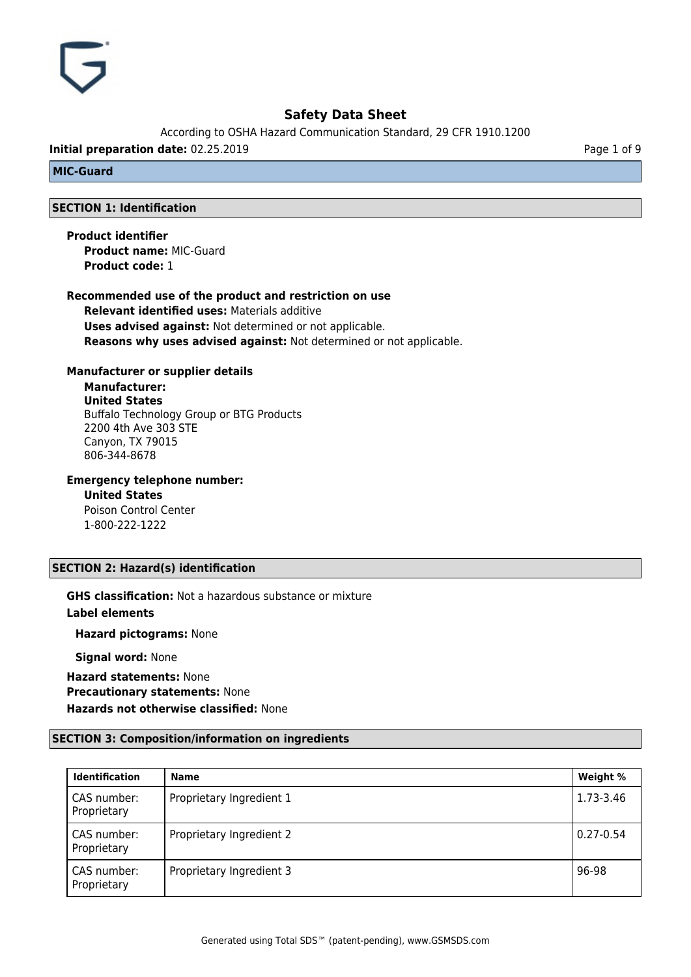According to OSHA Hazard Communication Standard, 29 CFR 1910.1200

**Initial preparation date:** 02.25.2019 **Page 1 of 9** Page 1 of 9

## **MIC-Guard**

## **SECTION 1: Identification**

**Product identifier Product name:** MIC-Guard **Product code:** 1

## **Recommended use of the product and restriction on use**

**Relevant identified uses:** Materials additive **Uses advised against:** Not determined or not applicable. **Reasons why uses advised against:** Not determined or not applicable.

## **Manufacturer or supplier details**

**Manufacturer: United States** Buffalo Technology Group or BTG Products 2200 4th Ave 303 STE Canyon, TX 79015 806-344-8678

## **Emergency telephone number:**

**United States** Poison Control Center 1-800-222-1222

## **SECTION 2: Hazard(s) identification**

**GHS classification:** Not a hazardous substance or mixture **Label elements**

**Hazard pictograms:** None

**Signal word:** None

**Hazard statements:** None **Precautionary statements:** None **Hazards not otherwise classified:** None

## **SECTION 3: Composition/information on ingredients**

| <b>Identification</b>      | <b>Name</b>              | Weight %      |
|----------------------------|--------------------------|---------------|
| CAS number:<br>Proprietary | Proprietary Ingredient 1 | 1.73-3.46     |
| CAS number:<br>Proprietary | Proprietary Ingredient 2 | $0.27 - 0.54$ |
| CAS number:<br>Proprietary | Proprietary Ingredient 3 | 96-98         |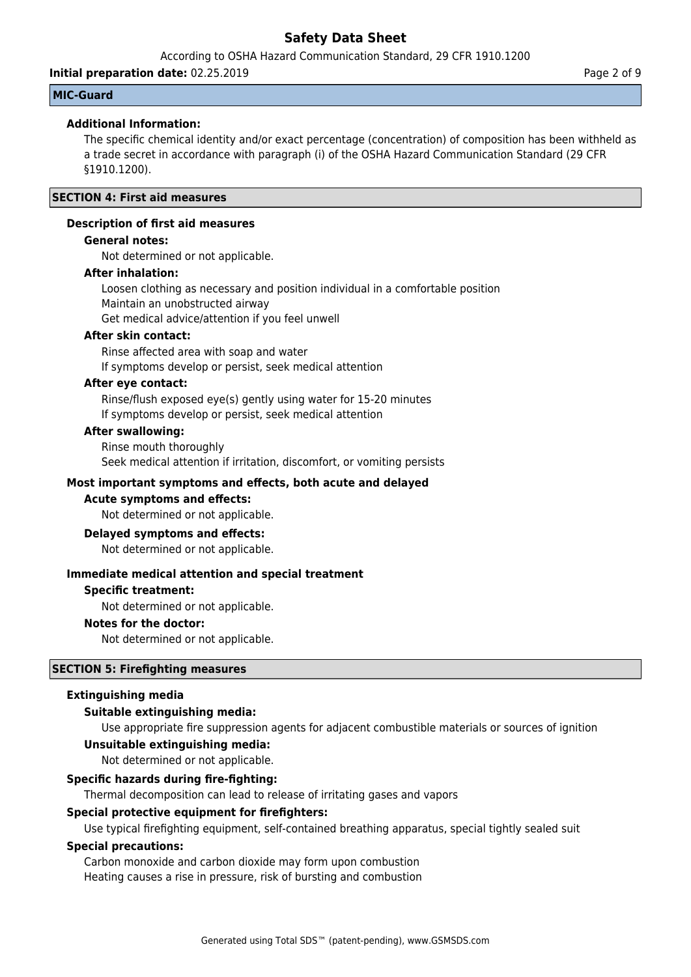According to OSHA Hazard Communication Standard, 29 CFR 1910.1200

**Initial preparation date:** 02.25.2019 **Page 2 of 9** Page 2 of 9

## **MIC-Guard**

## **Additional Information:**

The specific chemical identity and/or exact percentage (concentration) of composition has been withheld as a trade secret in accordance with paragraph (i) of the OSHA Hazard Communication Standard (29 CFR §1910.1200).

## **SECTION 4: First aid measures**

### **Description of first aid measures**

## **General notes:**

Not determined or not applicable.

## **After inhalation:**

Loosen clothing as necessary and position individual in a comfortable position Maintain an unobstructed airway

Get medical advice/attention if you feel unwell

## **After skin contact:**

Rinse affected area with soap and water If symptoms develop or persist, seek medical attention

#### **After eye contact:**

Rinse/flush exposed eye(s) gently using water for 15-20 minutes If symptoms develop or persist, seek medical attention

#### **After swallowing:**

Rinse mouth thoroughly Seek medical attention if irritation, discomfort, or vomiting persists

## **Most important symptoms and effects, both acute and delayed**

#### **Acute symptoms and effects:**

Not determined or not applicable.

#### **Delayed symptoms and effects:**

Not determined or not applicable.

#### **Immediate medical attention and special treatment**

#### **Specific treatment:**

Not determined or not applicable.

#### **Notes for the doctor:**

Not determined or not applicable.

## **SECTION 5: Firefighting measures**

#### **Extinguishing media**

#### **Suitable extinguishing media:**

Use appropriate fire suppression agents for adjacent combustible materials or sources of ignition

## **Unsuitable extinguishing media:**

Not determined or not applicable.

## **Specific hazards during fire-fighting:**

Thermal decomposition can lead to release of irritating gases and vapors

#### **Special protective equipment for firefighters:**

Use typical firefighting equipment, self-contained breathing apparatus, special tightly sealed suit

## **Special precautions:**

Carbon monoxide and carbon dioxide may form upon combustion Heating causes a rise in pressure, risk of bursting and combustion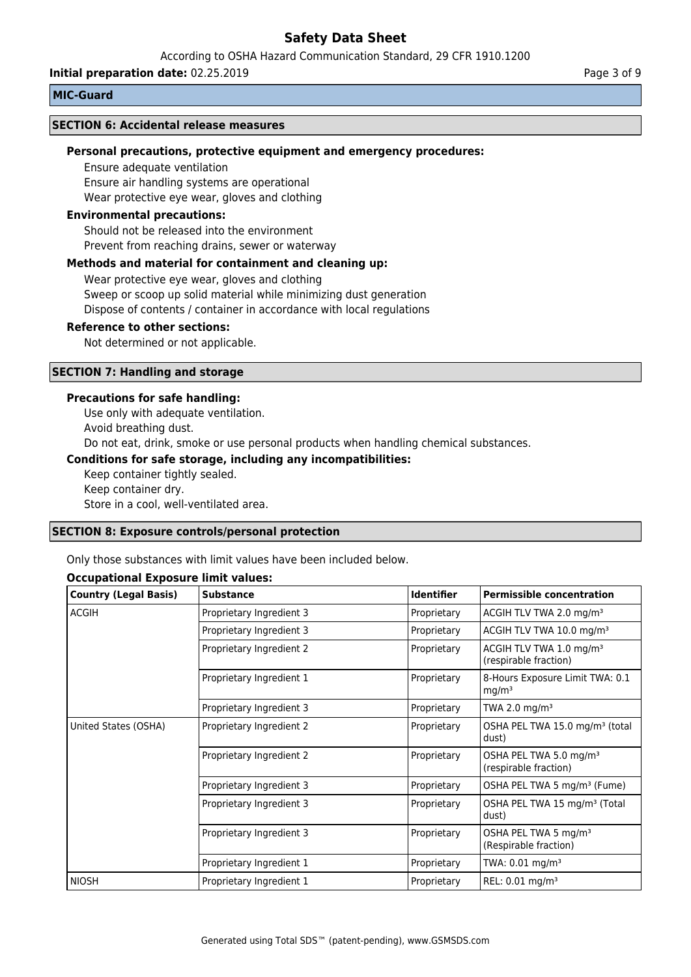According to OSHA Hazard Communication Standard, 29 CFR 1910.1200

**Initial preparation date:** 02.25.2019 **Page 3 of 9** Page 3 of 9

#### **MIC-Guard**

#### **SECTION 6: Accidental release measures**

#### **Personal precautions, protective equipment and emergency procedures:**

Ensure adequate ventilation Ensure air handling systems are operational Wear protective eye wear, gloves and clothing

#### **Environmental precautions:**

Should not be released into the environment Prevent from reaching drains, sewer or waterway

#### **Methods and material for containment and cleaning up:**

Wear protective eye wear, gloves and clothing Sweep or scoop up solid material while minimizing dust generation Dispose of contents / container in accordance with local regulations

#### **Reference to other sections:**

Not determined or not applicable.

### **SECTION 7: Handling and storage**

#### **Precautions for safe handling:**

Use only with adequate ventilation.

Avoid breathing dust.

Do not eat, drink, smoke or use personal products when handling chemical substances.

#### **Conditions for safe storage, including any incompatibilities:**

Keep container tightly sealed. Keep container dry. Store in a cool, well-ventilated area.

#### **SECTION 8: Exposure controls/personal protection**

Only those substances with limit values have been included below.

#### **Occupational Exposure limit values:**

| <b>Country (Legal Basis)</b> | <b>Substance</b>         | <b>Identifier</b>                                                  | <b>Permissible concentration</b>                             |
|------------------------------|--------------------------|--------------------------------------------------------------------|--------------------------------------------------------------|
| <b>ACGIH</b>                 | Proprietary Ingredient 3 | Proprietary                                                        | ACGIH TLV TWA 2.0 mg/m <sup>3</sup>                          |
|                              | Proprietary Ingredient 3 | Proprietary                                                        | ACGIH TLV TWA 10.0 mg/m <sup>3</sup>                         |
|                              | Proprietary Ingredient 2 | Proprietary                                                        | ACGIH TLV TWA 1.0 mg/m <sup>3</sup><br>(respirable fraction) |
|                              | Proprietary Ingredient 1 | Proprietary                                                        | 8-Hours Exposure Limit TWA: 0.1<br>mq/m <sup>3</sup>         |
|                              | Proprietary Ingredient 3 | Proprietary                                                        | TWA 2.0 mg/m <sup>3</sup>                                    |
| United States (OSHA)         | Proprietary Ingredient 2 | OSHA PEL TWA 15.0 mg/m <sup>3</sup> (total<br>Proprietary<br>dust) |                                                              |
|                              | Proprietary Ingredient 2 | Proprietary                                                        | OSHA PEL TWA 5.0 mg/m <sup>3</sup><br>(respirable fraction)  |
|                              | Proprietary Ingredient 3 | Proprietary                                                        | OSHA PEL TWA 5 mg/m <sup>3</sup> (Fume)                      |
|                              | Proprietary Ingredient 3 | Proprietary                                                        | OSHA PEL TWA 15 mg/m <sup>3</sup> (Total<br>dust)            |
|                              | Proprietary Ingredient 3 | Proprietary                                                        | OSHA PEL TWA 5 mg/m <sup>3</sup><br>(Respirable fraction)    |
|                              | Proprietary Ingredient 1 | Proprietary                                                        | TWA: 0.01 mg/m <sup>3</sup>                                  |
| <b>NIOSH</b>                 | Proprietary Ingredient 1 | Proprietary                                                        | REL: 0.01 mg/m <sup>3</sup>                                  |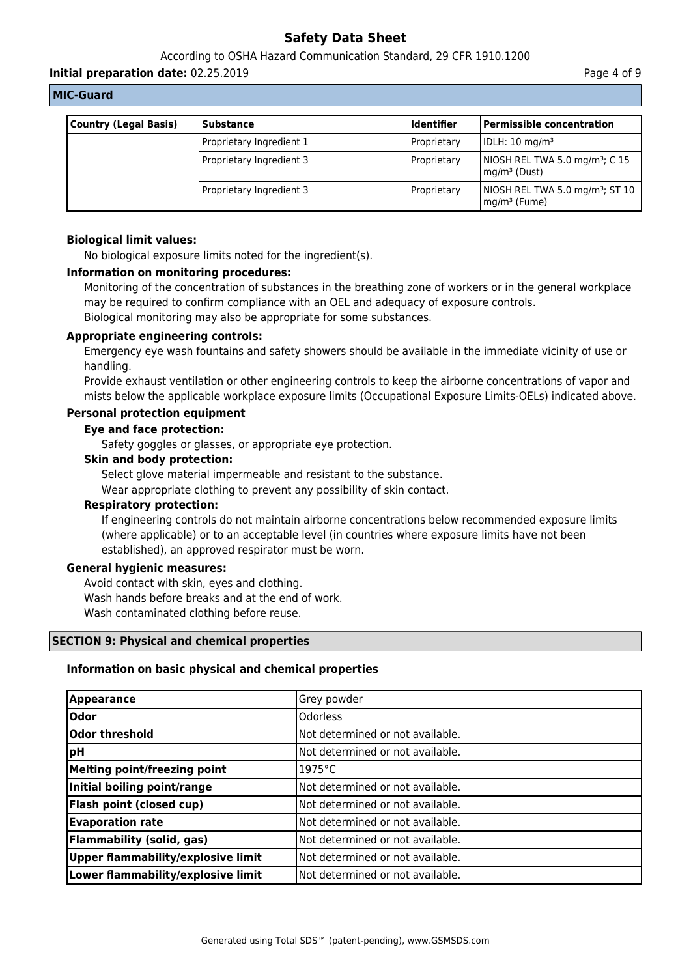According to OSHA Hazard Communication Standard, 29 CFR 1910.1200

**Initial preparation date:** 02.25.2019 **Page 4 of 9** Page 4 of 9

#### **MIC-Guard**

| <b>Country (Legal Basis)</b> | <b>Substance</b>         | <b>Identifier</b> | Permissible concentration                                                        |
|------------------------------|--------------------------|-------------------|----------------------------------------------------------------------------------|
|                              | Proprietary Ingredient 1 | Proprietary       | IDLH: 10 mg/m <sup>3</sup>                                                       |
|                              | Proprietary Ingredient 3 | Proprietary       | NIOSH REL TWA 5.0 mg/m <sup>3</sup> ; C 15<br>$\mathsf{Imq}/\mathsf{m}^3$ (Dust) |
|                              | Proprietary Ingredient 3 | Proprietary       | NIOSH REL TWA 5.0 mg/m <sup>3</sup> ; ST 10<br>$mg/m3$ (Fume)                    |

### **Biological limit values:**

No biological exposure limits noted for the ingredient(s).

### **Information on monitoring procedures:**

Monitoring of the concentration of substances in the breathing zone of workers or in the general workplace may be required to confirm compliance with an OEL and adequacy of exposure controls. Biological monitoring may also be appropriate for some substances.

#### **Appropriate engineering controls:**

Emergency eye wash fountains and safety showers should be available in the immediate vicinity of use or handling.

Provide exhaust ventilation or other engineering controls to keep the airborne concentrations of vapor and mists below the applicable workplace exposure limits (Occupational Exposure Limits-OELs) indicated above.

## **Personal protection equipment**

#### **Eye and face protection:**

Safety goggles or glasses, or appropriate eye protection.

#### **Skin and body protection:**

Select glove material impermeable and resistant to the substance.

Wear appropriate clothing to prevent any possibility of skin contact.

### **Respiratory protection:**

If engineering controls do not maintain airborne concentrations below recommended exposure limits (where applicable) or to an acceptable level (in countries where exposure limits have not been established), an approved respirator must be worn.

#### **General hygienic measures:**

Avoid contact with skin, eyes and clothing. Wash hands before breaks and at the end of work. Wash contaminated clothing before reuse.

#### **SECTION 9: Physical and chemical properties**

#### **Information on basic physical and chemical properties**

| <b>Appearance</b>                  | Grey powder                       |
|------------------------------------|-----------------------------------|
| Odor                               | <b>Odorless</b>                   |
| Odor threshold                     | INot determined or not available. |
| <b>pH</b>                          | INot determined or not available. |
| Melting point/freezing point       | 1975°C                            |
| Initial boiling point/range        | INot determined or not available. |
| <b>Flash point (closed cup)</b>    | INot determined or not available. |
| <b>Evaporation rate</b>            | INot determined or not available. |
| Flammability (solid, gas)          | Not determined or not available.  |
| Upper flammability/explosive limit | Not determined or not available.  |
| Lower flammability/explosive limit | INot determined or not available. |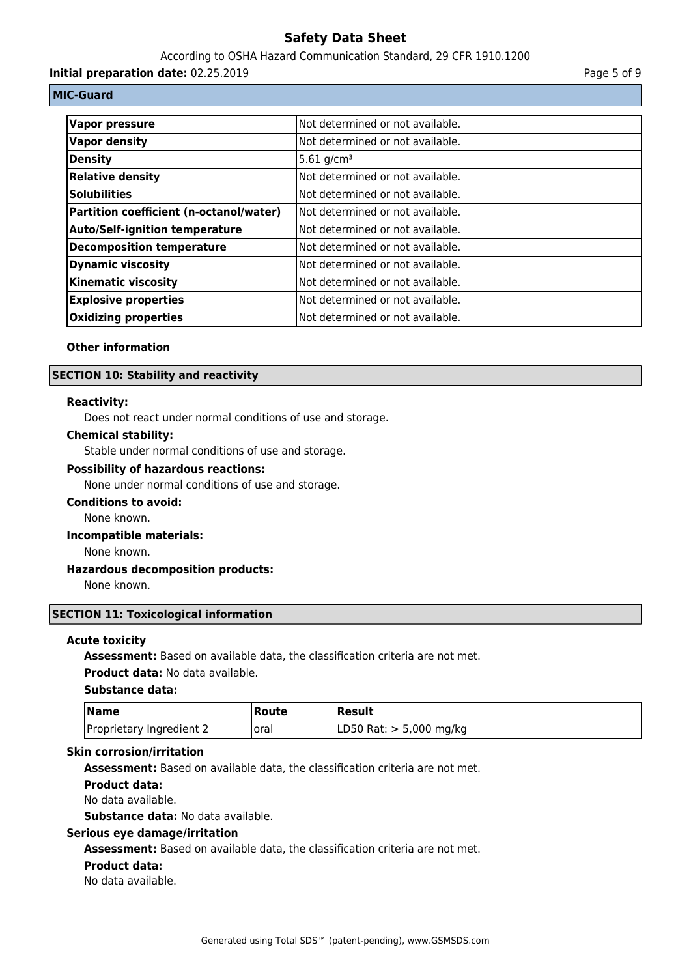According to OSHA Hazard Communication Standard, 29 CFR 1910.1200

**Initial preparation date:** 02.25.2019 **Page 5 of 9** Page 5 of 9

## **MIC-Guard**

| Vapor pressure                          | Not determined or not available. |
|-----------------------------------------|----------------------------------|
| Vapor density                           | Not determined or not available. |
| Density                                 | $5.61$ g/cm <sup>3</sup>         |
| <b>Relative density</b>                 | Not determined or not available. |
| <b>Solubilities</b>                     | Not determined or not available. |
| Partition coefficient (n-octanol/water) | Not determined or not available. |
| <b>Auto/Self-ignition temperature</b>   | Not determined or not available. |
| Decomposition temperature               | Not determined or not available. |
| <b>Dynamic viscosity</b>                | Not determined or not available. |
| <b>Kinematic viscosity</b>              | Not determined or not available. |
| <b>Explosive properties</b>             | Not determined or not available. |
| <b>Oxidizing properties</b>             | Not determined or not available. |

### **Other information**

### **SECTION 10: Stability and reactivity**

#### **Reactivity:**

Does not react under normal conditions of use and storage.

#### **Chemical stability:**

Stable under normal conditions of use and storage.

#### **Possibility of hazardous reactions:**

None under normal conditions of use and storage.

## **Conditions to avoid:**

None known.

## **Incompatible materials:**

None known.

## **Hazardous decomposition products:**

None known.

## **SECTION 11: Toxicological information**

#### **Acute toxicity**

**Assessment:** Based on available data, the classification criteria are not met.

# **Product data:** No data available.

#### **Substance data:**

| <b>Name</b>              | Route | <b> Result</b>            |
|--------------------------|-------|---------------------------|
| Proprietary Ingredient 2 | loral | LD50 Rat: $> 5,000$ mg/kg |

#### **Skin corrosion/irritation**

**Assessment:** Based on available data, the classification criteria are not met.

#### **Product data:**

No data available.

**Substance data:** No data available.

#### **Serious eye damage/irritation**

**Assessment:** Based on available data, the classification criteria are not met.

#### **Product data:**

No data available.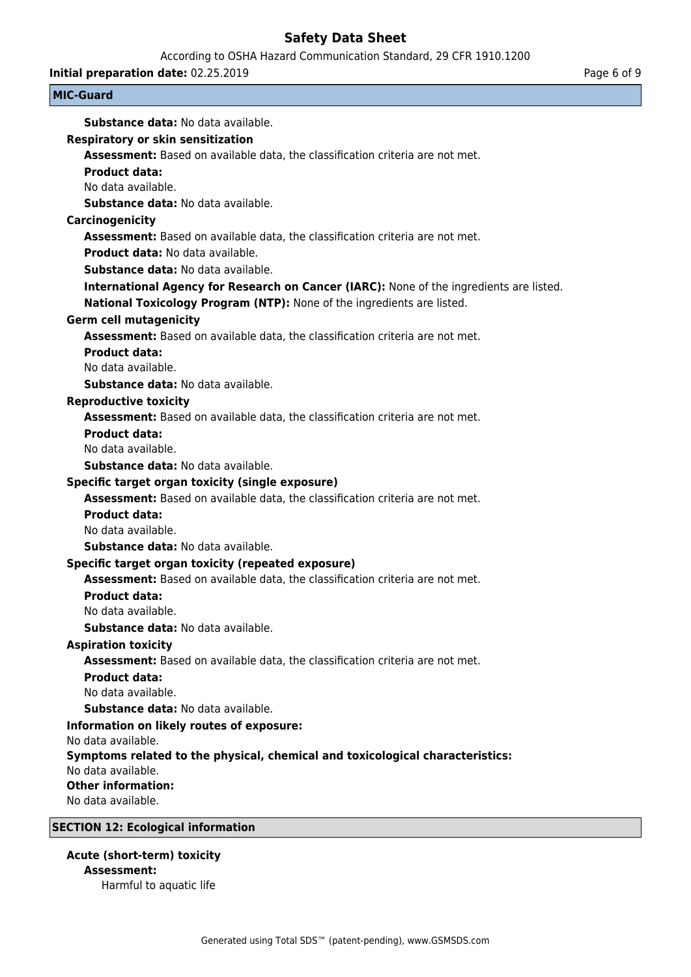According to OSHA Hazard Communication Standard, 29 CFR 1910.1200

**Initial preparation date:** 02.25.2019 **Page 6 of 9** Page 6 of 9

| <b>MIC-Guard</b>                                                                                    |  |
|-----------------------------------------------------------------------------------------------------|--|
| <b>Substance data: No data available.</b>                                                           |  |
| <b>Respiratory or skin sensitization</b>                                                            |  |
| Assessment: Based on available data, the classification criteria are not met.                       |  |
| <b>Product data:</b>                                                                                |  |
| No data available.                                                                                  |  |
| <b>Substance data: No data available.</b>                                                           |  |
| Carcinogenicity                                                                                     |  |
| Assessment: Based on available data, the classification criteria are not met.                       |  |
| <b>Product data: No data available.</b>                                                             |  |
| <b>Substance data: No data available.</b>                                                           |  |
| International Agency for Research on Cancer (IARC): None of the ingredients are listed.             |  |
| National Toxicology Program (NTP): None of the ingredients are listed.                              |  |
| <b>Germ cell mutagenicity</b>                                                                       |  |
| Assessment: Based on available data, the classification criteria are not met.                       |  |
| <b>Product data:</b>                                                                                |  |
| No data available.                                                                                  |  |
| <b>Substance data: No data available.</b>                                                           |  |
| <b>Reproductive toxicity</b>                                                                        |  |
| Assessment: Based on available data, the classification criteria are not met.                       |  |
| <b>Product data:</b>                                                                                |  |
| No data available.                                                                                  |  |
| <b>Substance data: No data available.</b>                                                           |  |
| Specific target organ toxicity (single exposure)                                                    |  |
| Assessment: Based on available data, the classification criteria are not met.                       |  |
| <b>Product data:</b>                                                                                |  |
| No data available.                                                                                  |  |
| Substance data: No data available.                                                                  |  |
| Specific target organ toxicity (repeated exposure)                                                  |  |
| Assessment: Based on available data, the classification criteria are not met.                       |  |
| <b>Product data:</b>                                                                                |  |
| No data available.                                                                                  |  |
| Substance data: No data available.                                                                  |  |
| <b>Aspiration toxicity</b>                                                                          |  |
| Assessment: Based on available data, the classification criteria are not met.                       |  |
| <b>Product data:</b>                                                                                |  |
| No data available.                                                                                  |  |
| Substance data: No data available.                                                                  |  |
| Information on likely routes of exposure:                                                           |  |
| No data available.                                                                                  |  |
| Symptoms related to the physical, chemical and toxicological characteristics:<br>No data available. |  |
| <b>Other information:</b>                                                                           |  |
| No data available.                                                                                  |  |
|                                                                                                     |  |

# **SECTION 12: Ecological information**

**Acute (short-term) toxicity Assessment:**

Harmful to aquatic life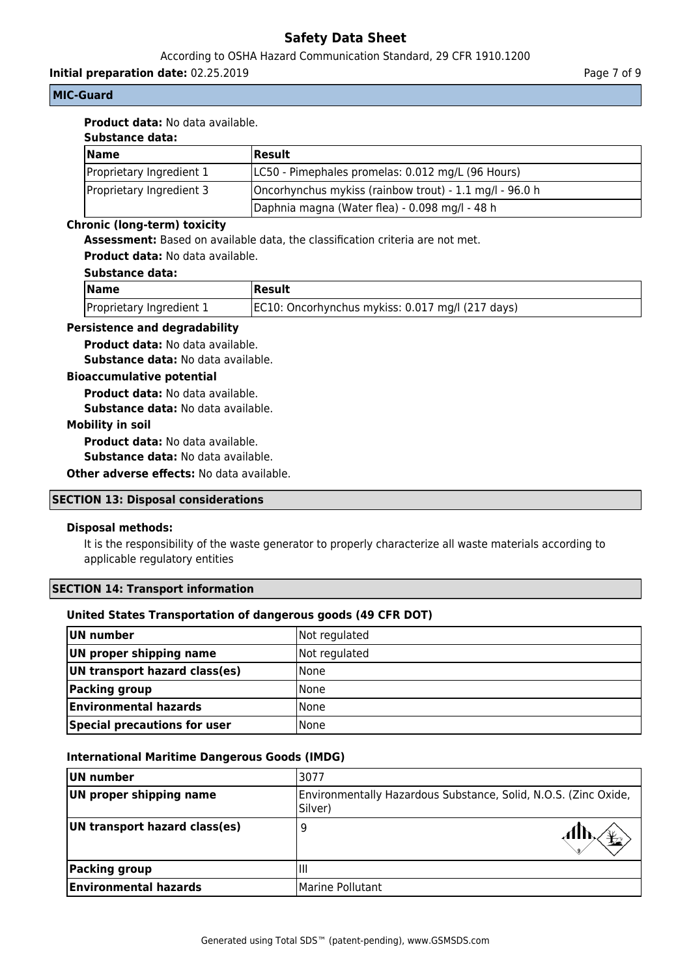## According to OSHA Hazard Communication Standard, 29 CFR 1910.1200

**Initial preparation date:** 02.25.2019 **Page 7 of 9** Page 7 of 9

## **MIC-Guard**

## **Product data:** No data available.

## **Substance data:**

| <b>Name</b>              | Result                                                  |
|--------------------------|---------------------------------------------------------|
| Proprietary Ingredient 1 | LC50 - Pimephales promelas: 0.012 mg/L (96 Hours)       |
| Proprietary Ingredient 3 | Oncorhynchus mykiss (rainbow trout) - 1.1 mg/l - 96.0 h |
|                          | Daphnia magna (Water flea) - 0.098 mg/l - 48 h          |

## **Chronic (long-term) toxicity**

**Assessment:** Based on available data, the classification criteria are not met.

**Product data:** No data available.

## **Substance data:**

| <b>Name</b>              | Result                                           |
|--------------------------|--------------------------------------------------|
| Proprietary Ingredient 1 | EC10: Oncorhynchus mykiss: 0.017 mg/l (217 days) |

#### **Persistence and degradability**

**Product data:** No data available.

**Substance data:** No data available.

## **Bioaccumulative potential**

**Product data:** No data available.

**Substance data:** No data available.

## **Mobility in soil**

**Product data:** No data available.

**Substance data:** No data available.

**Other adverse effects: No data available.** 

#### **SECTION 13: Disposal considerations**

## **Disposal methods:**

It is the responsibility of the waste generator to properly characterize all waste materials according to applicable regulatory entities

## **SECTION 14: Transport information**

## **United States Transportation of dangerous goods (49 CFR DOT)**

| UN number                     | Not regulated |
|-------------------------------|---------------|
| UN proper shipping name       | Not regulated |
| UN transport hazard class(es) | <b>None</b>   |
| <b>Packing group</b>          | <b>None</b>   |
| <b>Environmental hazards</b>  | <b>None</b>   |
| Special precautions for user  | <b>None</b>   |

## **International Maritime Dangerous Goods (IMDG)**

| UN number                     | 13077                                                                      |  |
|-------------------------------|----------------------------------------------------------------------------|--|
| UN proper shipping name       | Environmentally Hazardous Substance, Solid, N.O.S. (Zinc Oxide,<br>Silver) |  |
| UN transport hazard class(es) | 9                                                                          |  |
| Packing group                 | Ш                                                                          |  |
| <b>Environmental hazards</b>  | Marine Pollutant                                                           |  |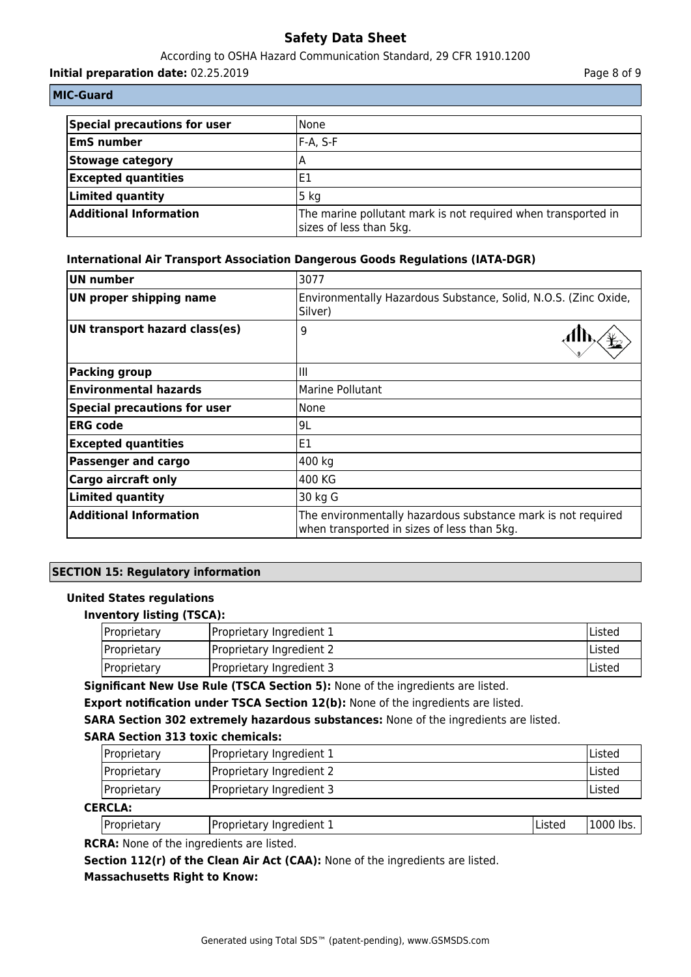#### According to OSHA Hazard Communication Standard, 29 CFR 1910.1200

**Initial preparation date:** 02.25.2019 **Page 8 of 9** Page 8 of 9

|  |  | <b>MIC-Guard</b> |  |  |  |
|--|--|------------------|--|--|--|
|--|--|------------------|--|--|--|

| Special precautions for user  | l None                                                                                   |
|-------------------------------|------------------------------------------------------------------------------------------|
| <b>EmS number</b>             | IF-A. S-F                                                                                |
| Stowage category              |                                                                                          |
| <b>Excepted quantities</b>    | 'E1                                                                                      |
| Limited quantity              | 5 <sub>kg</sub>                                                                          |
| <b>Additional Information</b> | The marine pollutant mark is not required when transported in<br>sizes of less than 5kg. |

## **International Air Transport Association Dangerous Goods Regulations (IATA-DGR)**

| <b>UN number</b>                    | 3077                                                                                                        |  |
|-------------------------------------|-------------------------------------------------------------------------------------------------------------|--|
| <b>UN proper shipping name</b>      | Environmentally Hazardous Substance, Solid, N.O.S. (Zinc Oxide,<br>Silver)                                  |  |
| UN transport hazard class(es)       | 9                                                                                                           |  |
| <b>Packing group</b>                | Ш                                                                                                           |  |
| <b>Environmental hazards</b>        | Marine Pollutant                                                                                            |  |
| <b>Special precautions for user</b> | None                                                                                                        |  |
| <b>ERG</b> code                     | 9L                                                                                                          |  |
| <b>Excepted quantities</b>          | E1                                                                                                          |  |
| <b>Passenger and cargo</b>          | 400 kg                                                                                                      |  |
| <b>Cargo aircraft only</b>          | 400 KG                                                                                                      |  |
| <b>Limited quantity</b>             | 30 kg G                                                                                                     |  |
| <b>Additional Information</b>       | The environmentally hazardous substance mark is not required<br>when transported in sizes of less than 5kg. |  |

## **SECTION 15: Regulatory information**

## **United States regulations**

## **Inventory listing (TSCA):**

| Proprietary | IProprietary Ingredient 1 | <b>IListed</b> |
|-------------|---------------------------|----------------|
| Proprietary | Proprietary Ingredient 2  | lListed        |
| Proprietary | Proprietary Ingredient 3  | <b>IListed</b> |

**Significant New Use Rule (TSCA Section 5):** None of the ingredients are listed.

**Export notification under TSCA Section 12(b):** None of the ingredients are listed.

**SARA Section 302 extremely hazardous substances:** None of the ingredients are listed.

## **SARA Section 313 toxic chemicals:**

| <i>Proprietary</i> | Proprietary Ingredient 1 | <b>IListed</b> |
|--------------------|--------------------------|----------------|
| <b>Proprietary</b> | Proprietary Ingredient 2 | lListed        |
| Proprietary        | Proprietary Ingredient 3 | lListed        |

## **CERCLA:**

| Proprietary | Proprietary Ingredient 1 | Listed | 1000 lbs. |
|-------------|--------------------------|--------|-----------|
|             |                          |        |           |

**RCRA:** None of the ingredients are listed.

Section 112(r) of the Clean Air Act (CAA): None of the ingredients are listed.

# **Massachusetts Right to Know:**